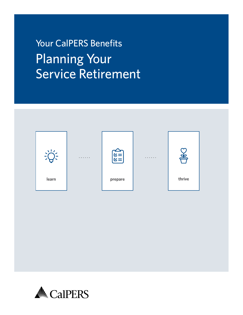Your CalPERS Benefits Planning Your Service Retirement



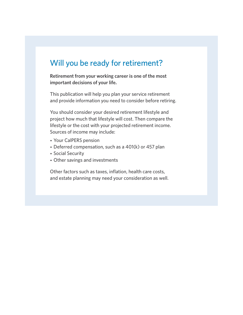# Will you be ready for retirement?

**Retirement from your working career is one of the most important decisions of your life.**

This publication will help you plan your service retirement and provide information you need to consider before retiring.

You should consider your desired retirement lifestyle and project how much that lifestyle will cost. Then compare the lifestyle or the cost with your projected retirement income. Sources of income may include:

- **•** Your CalPERS pension
- **•** Deferred compensation, such as a 401(k) or 457 plan
- **•** Social Security
- **•** Other savings and investments

Other factors such as taxes, inflation, health care costs, and estate planning may need your consideration as well.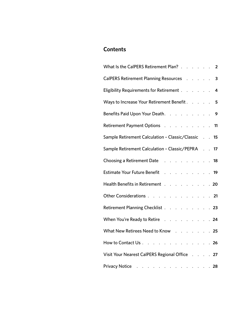# **Contents**

| What Is the CalPERS Retirement Plan? 2                                                                        |  |  |                         |
|---------------------------------------------------------------------------------------------------------------|--|--|-------------------------|
| CalPERS Retirement Planning Resources                                                                         |  |  | $\overline{\mathbf{3}}$ |
| Eligibility Requirements for Retirement                                                                       |  |  | 4                       |
| Ways to Increase Your Retirement Benefit                                                                      |  |  | 5                       |
| Benefits Paid Upon Your Death. 9                                                                              |  |  |                         |
| Retirement Payment Options 11                                                                                 |  |  |                         |
| Sample Retirement Calculation - Classic/Classic 15                                                            |  |  |                         |
| Sample Retirement Calculation - Classic/PEPRA 17                                                              |  |  |                         |
| Choosing a Retirement Date New York New York 18                                                               |  |  |                         |
| Estimate Your Future Benefit Albert Albert Albert Albert Albert Albert Albert Albert Albert Albert Albert Alb |  |  |                         |
| Health Benefits in Retirement 20                                                                              |  |  |                         |
| Other Considerations 21                                                                                       |  |  |                         |
| Retirement Planning Checklist 23                                                                              |  |  |                         |
| When You're Ready to Retire 24                                                                                |  |  |                         |
| What New Retirees Need to Know 25                                                                             |  |  |                         |
| How to Contact Us 26                                                                                          |  |  |                         |
| Visit Your Nearest CalPERS Regional Office 27                                                                 |  |  |                         |
| Privacy Notice Albert Albert Albert Albert Albert Albert Albert Albert Albert Albert Albert Albert Albert Alb |  |  |                         |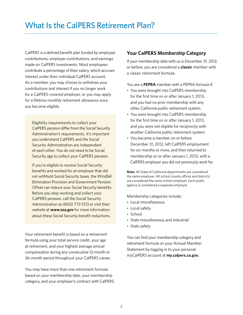<span id="page-3-0"></span>CalPERS is a defined benefit plan funded by employee contributions, employer contributions, and earnings made on CalPERS investments. Most employees contribute a percentage of their salary, which accrues interest under their individual CalPERS account As a member, you may choose to withdraw your contributions and interest if you no longer work for a CalPERS-covered employer, or you may apply for a lifetime monthly retirement allowance once you become eligible

Eligibility requirements to collect your CalPERS pension difer from the Social Security Administration's requirements. It's important you understand CalPERS and the Social Security Administration are independent of each other You do not need to be Social Security age to collect your CalPERS pension.

If you're eligible to receive Social Security benefits and worked for an employer that did not withhold Social Security taxes, the Windfall Elimination Provision and Government Pension Offset can reduce your Social Security benefits. Before you stop working and collect your CalPERS pension, call the Social Security Administration at (800) 772-1213 or visit their website at **[www.ssa.gov](https://www.ssa.gov/)** for more information about these Social Security benefit reductions.

Your retirement benefit is based on a retirement formula using your total service credit, your age at retirement, and your highest average annual compensation during any consecutive 12-month or 36-month period throughout your CalPERS career

You may have more than one retirement formula based on your membership date, your membership category, and your employer's contract with CalPERS

## **Your CalPERS Membership Category**

If your membership date with us is December 31, 2012, or before, you are considered a **classic** member with a classic retirement formula

You are a **PEPRA** member with a PEPRA formula if:

- You were brought into CalPERS membership for the first time on or after January 1, 2013, and you had no prior membership with any other California public retirement system
- You were brought into CalPERS membership for the first time on or after January 1, 2013, and you were not eligible for reciprocity with another California public retirement system
- You became a member on or before December 31, 2012, left CalPERS employment for six months or more, and then returned to membership on or after January 1, 2013, with a CalPERS employer you did not previously work for

**Note:** All State of California departments are considered the same employer. All school county offices and districts are considered the same school employer. Each public agency is considered a separate employer

Membership categories include:

- Local miscellaneous
- Local safety
- School
- State miscellaneous and industrial
- State safety

You can find your membership category and retirement formula on your Annual Member Statement by logging in to your personal myCalPERS account at **[my.calpers.ca.gov.](https://my.calpers.ca.gov)**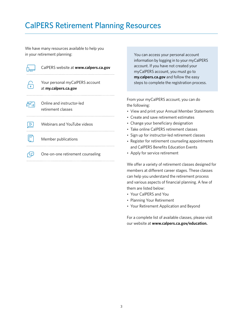# <span id="page-4-0"></span>CalPERS Retirement Planning Resources

We have many resources available to help you in your retirement planning:

| CalPERS website at www.calpers.ca.gov                   |  |
|---------------------------------------------------------|--|
| Your personal myCalPERS account<br>at my.calpers.ca.gov |  |
| Online and instructor-led<br>retirement classes         |  |
| <b>Webinars and YouTube videos</b>                      |  |
| Member publications                                     |  |
| One-on-one retirement counseling                        |  |

You can access your personal account information by logging in to your myCalPERS account. If you have not created your myCalPERS account, you must go to **[my.calpers.ca.gov](https://my.calpers.ca.gov)** and follow the easy steps to complete the registration process

From your myCalPERS account, you can do the following:

- View and print your Annual Member Statements
- Create and save retirement estimates
- Change your beneficiary designation
- Take online CalPERS retirement classes
- Sign up for instructor-led retirement classes
- Register for retirement counseling appointments and CalPERS Benefits Education Events
- Apply for service retirement

We offer a variety of retirement classes designed for members at different career stages. These classes can help you understand the retirement process and various aspects of financial planning. A few of them are listed below:

- Your CalPERS and You
- Planning Your Retirement
- Your Retirement Application and Beyond

For a complete list of available classes, please visit our website at **[www.calpers.ca.gov/education.](https://www.calpers.ca.gov/page/education-center/member-education)**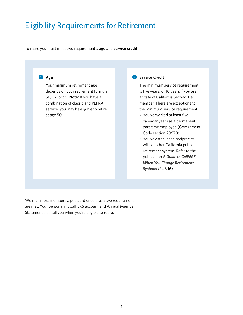# <span id="page-5-0"></span>Eligibility Requirements for Retirement

To retire you must meet two requirements: **age** and **service credit**



Your minimum retirement age depends on your retirement formula: 50, 52, or 55 **Note:** If you have a combination of classic and PEPRA service, you may be eligible to retire at age 50

### 2 **Service Credit**

The minimum service requirement is five years, or 10 years if you are a State of California Second Tier member. There are exceptions to the minimum service requirement:

- You've worked at least five calendar years as a permanent part-time employee (Government Code section 20970)
- You've established reciprocity with another California public retirement system. Refer to the publication *[A Guide to CalPERS](https://www.calpers.ca.gov/docs/forms-publications/change-retirement-systems.pdf)  [When You Change Retirement](https://www.calpers.ca.gov/docs/forms-publications/change-retirement-systems.pdf)  [Systems](https://www.calpers.ca.gov/docs/forms-publications/change-retirement-systems.pdf)* (PUB 16)

We mail most members a postcard once these two requirements are met. Your personal myCalPERS account and Annual Member Statement also tell you when you're eligible to retire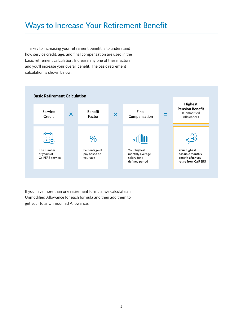# <span id="page-6-0"></span>Ways to Increase Your Retirement Benefit

The key to increasing your retirement benefit is to understand how service credit, age, and final compensation are used in the basic retirement calculation. Increase any one of these factors and you'll increase your overall benefit. The basic retirement calculation is shown below:



If you have more than one retirement formula, we calculate an Unmodifed Allowance for each formula and then add them to get your total Unmodified Allowance.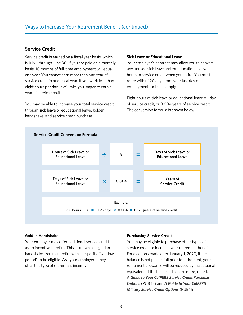### **Service Credit**

Service credit is earned on a fiscal year basis, which is July 1 through June 30. If you are paid on a monthly basis, 10 months of full-time employment will equal one year You cannot earn more than one year of service credit in one fiscal year. If you work less than eight hours per day, it will take you longer to earn a year of service credit

You may be able to increase your total service credit through sick leave or educational leave, golden handshake, and service credit purchase

### **Sick Leave or Educational Leave**

Your employer's contract may allow you to convert any unused sick leave and/or educational leave hours to service credit when you retire. You must retire within 120 days from your last day of employment for this to apply

Eight hours of sick leave or educational leave = 1 day of service credit, or 0.004 years of service credit. The conversion formula is shown below:



#### **Golden Handshake**

Your employer may offer additional service credit as an incentive to retire. This is known as a golden handshake. You must retire within a specific "window period" to be eligible. Ask your employer if they offer this type of retirement incentive.

#### **Purchasing Service Credit**

You may be eligible to purchase other types of service credit to increase your retirement benefit. For elections made after January 1, 2020, if the balance is not paid in full prior to retirement, your retirement allowance will be reduced by the actuarial equivalent of the balance. To learn more, refer to *[A Guide to Your CalPERS Service Credit Purchase](https://www.calpers.ca.gov/docs/forms-publications/service-credit-purchase-options.pdf)  [Options](https://www.calpers.ca.gov/docs/forms-publications/service-credit-purchase-options.pdf)* (PUB 12) and *[A Guide to Your CalPERS](https://www.calpers.ca.gov/docs/forms-publications/military-service-credit-guide.pdf)  [Military Service Credit Options](https://www.calpers.ca.gov/docs/forms-publications/military-service-credit-guide.pdf)* (PUB 15)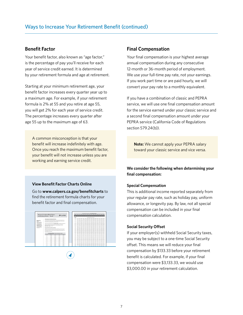## **Benefit Factor**

Your benefit factor, also known as "age factor," is the percentage of pay you'll receive for each year of service credit earned. It is determined by your retirement formula and age at retirement

Starting at your minimum retirement age, your benefit factor increases every quarter year up to a maximum age. For example, if your retirement formula is 2% at 55 and you retire at age 55, you will get 2% for each year of service credit The percentage increases every quarter after age 55 up to the maximum age of 63

A common misconception is that your benefit will increase indefinitely with age. Once you reach the maximum benefit factor, your benefit will not increase unless you are working and earning service credit

#### **View Beneft Factor Charts Online**

Go to **[www.calpers.ca.gov/beneftcharts](https://www.calpers.ca.gov/page/active-members/retirement-benefits/benefit-factor-charts)** to find the retirement formula charts for your benefit factor and final compensation.



### **Final Compensation**

Your final compensation is your highest average annual compensation during any consecutive 12-month or 36-month period of employment We use your full-time pay rate, not your earnings. If you work part time or are paid hourly, we will convert your pay rate to a monthly equivalent

If you have a combination of classic and PEPRA service, we will use one final compensation amount for the service earned under your classic service and a second final compensation amount under your PEPRA service (California Code of Regulations section 579.24(b)).

**Note:** We cannot apply your PEPRA salary toward your classic service and vice versa

**We consider the following when determining your fnal compensation:**

#### **Special Compensation**

This is additional income reported separately from your regular pay rate, such as holiday pay, uniform allowance, or longevity pay. By law, not all special compensation can be included in your final compensation calculation

#### **Social Security Ofset**

If your employer(s) withheld Social Security taxes, you may be subject to a one-time Social Security offset. This means we will reduce your final compensation by \$133 33 before your retirement benefit is calculated. For example, if your final compensation were \$3,133.33, we would use \$3,000.00 in your retirement calculation.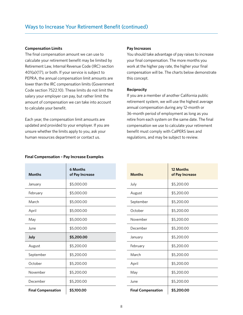#### **Compensation Limits**

The final compensation amount we can use to calculate your retirement benefit may be limited by Retirement Law, Internal Revenue Code (IRC) section 401(a)(17), or both. If your service is subject to PEPRA, the annual compensation limit amounts are lower than the IRC compensation limits (Government Code section 7522.10). These limits do not limit the salary your employer can pay, but rather limit the amount of compensation we can take into account to calculate your benefit.

Each year, the compensation limit amounts are updated and provided to your employer If you are unsure whether the limits apply to you, ask your human resources department or contact us

# **Pay Increases**

You should take advantage of pay raises to increase your final compensation. The more months you work at the higher pay rate, the higher your final compensation will be. The charts below demonstrate this concept

### **Reciprocity**

If you are a member of another California public retirement system, we will use the highest average annual compensation during any 12-month or 36-month period of employment as long as you retire from each system on the same date. The final compensation we use to calculate your retirement benefit must comply with CalPERS laws and regulations, and may be subject to review

#### **Final Compensation – Pay Increase Examples**

| <b>Months</b>             | 6 Months<br>of Pay Increase | <b>Months</b>             | 12 Months<br>of Pay Incre |
|---------------------------|-----------------------------|---------------------------|---------------------------|
| January                   | \$5,000.00                  | July                      | \$5,200.00                |
| February                  | \$5,000.00                  | August                    | \$5,200.00                |
| March                     | \$5,000.00                  | September                 | \$5,200.00                |
| April                     | \$5,000.00                  | October                   | \$5,200.00                |
| May                       | \$5,000.00                  | November                  | \$5,200.00                |
| June                      | \$5,000.00                  | December                  | \$5,200.00                |
| July                      | \$5,200.00                  | January                   | \$5,200.00                |
| August                    | \$5,200.00                  | February                  | \$5,200.00                |
| September                 | \$5,200.00                  | March                     | \$5,200.00                |
| October                   | \$5,200.00                  | April                     | \$5,200.00                |
| November                  | \$5,200.00                  | May                       | \$5,200.00                |
| December                  | \$5,200.00                  | June                      | \$5,200.00                |
| <b>Final Compensation</b> | \$5,100.00                  | <b>Final Compensation</b> | \$5,200.00                |

| <b>Months</b>             | 12 Months<br>of Pay Increase |
|---------------------------|------------------------------|
| July                      | \$5,200.00                   |
| August                    | \$5,200.00                   |
| September                 | \$5,200.00                   |
| October                   | \$5,200.00                   |
| November                  | \$5,200.00                   |
| December                  | \$5,200.00                   |
| January                   | \$5,200.00                   |
| February                  | \$5,200.00                   |
| March                     | \$5,200.00                   |
| April                     | \$5,200.00                   |
| May                       | \$5,200.00                   |
| June                      | \$5,200.00                   |
| <b>Final Compensation</b> | \$5,200.00                   |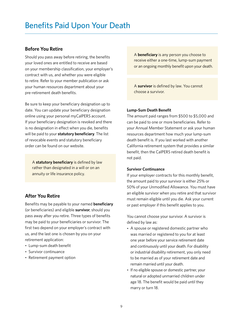## <span id="page-10-0"></span>**Before You Retire**

Should you pass away before retiring, the benefits your loved ones are entitled to receive are based on your membership classifcation, your employer's contract with us, and whether you were eligible to retire. Refer to your member publication or ask your human resources department about your pre-retirement death benefits.

Be sure to keep your beneficiary designation up to date. You can update your beneficiary designation online using your personal myCalPERS account If your beneficiary designation is revoked and there is no designation in effect when you die, benefits will be paid to your **statutory beneficiary**. The list of revocable events and statutory beneficiary order can be found on our website

A **statutory beneficiary** is defined by law rather than designated in a will or on an annuity or life insurance policy.

## **After You Retire**

Benefits may be payable to your named **beneficiary** (or beneficiaries) and eligible **survivor**, should you pass away after you retire. Three types of benefits may be paid to your beneficiaries or survivor. The first two depend on your employer's contract with us, and the last one is chosen by you on your retirement application:

- Lump-sum death benefit
- Survivor continuance
- Retirement payment option

A **beneficiary** is any person you choose to receive either a one-time, lump-sum payment or an ongoing monthly benefit upon your death.

A **survivor** is defned by law You cannot choose a survivor

### **Lump-Sum Death Beneft**

The amount paid ranges from \$500 to \$5,000 and can be paid to one or more beneficiaries. Refer to your Annual Member Statement or ask your human resources department how much your lump-sum death benefit is. If you last worked with another California retirement system that provides a similar benefit, then the CalPERS retired death benefit is not paid

### **Survivor Continuance**

If your employer contracts for this monthly benefit, the amount paid to your survivor is either 25% or 50% of your Unmodified Allowance. You must have an eligible survivor when you retire and that survivor must remain eligible until you die Ask your current or past employer if this benefit applies to you.

You cannot choose your survivor. A survivor is defined by law as:

- A spouse or registered domestic partner who was married or registered to you for at least one year before your service retirement date and continuously until your death. For disability or industrial disability retirement, you only need to be married as of your retirement date and remain married until your death
- If no eligible spouse or domestic partner, your natural or adopted unmarried children under age 18. The benefit would be paid until they marry or turn 18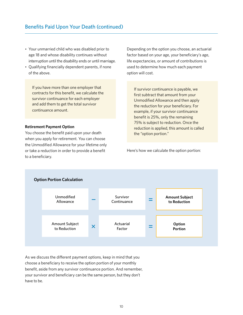- Your unmarried child who was disabled prior to age 18 and whose disability continues without interruption until the disability ends or until marriage
- Qualifying financially dependent parents, if none of the above

If you have more than one employer that contracts for this benefit, we calculate the survivor continuance for each employer and add them to get the total survivor continuance amount

### **Retirement Payment Option**

You choose the benefit paid upon your death when you apply for retirement. You can choose the Unmodifed Allowance for your lifetime only or take a reduction in order to provide a benefit to a beneficiary.

Depending on the option you choose, an actuarial factor based on your age, your beneficiary's age, life expectancies, or amount of contributions is used to determine how much each payment option will cost

If survivor continuance is payable, we first subtract that amount from your Unmodified Allowance and then apply the reduction for your beneficiary. For example, if your survivor continuance benefit is 25%, only the remaining 75% is subject to reduction. Once the reduction is applied, this amount is called the "option portion."

Here's how we calculate the option portion:



As we discuss the diferent payment options, keep in mind that you choose a beneficiary to receive the option portion of your monthly benefit, aside from any survivor continuance portion. And remember, your survivor and beneficiary can be the same person, but they don't have to be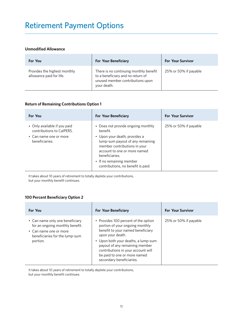# <span id="page-12-0"></span>Retirement Payment Options

### **Unmodified Allowance**

| For You                                                  | <b>For Your Beneficiary</b>                                                                                                    | <b>For Your Survivor</b> |
|----------------------------------------------------------|--------------------------------------------------------------------------------------------------------------------------------|--------------------------|
| Provides the highest monthly<br>allowance paid for life. | There is no continuing monthly benefit<br>to a beneficiary and no return of<br>unused member contributions upon<br>your death. | 25% or 50% if payable    |

### **Return of Remaining Contributions Option 1**

| For You                                                                                               | <b>For Your Beneficiary</b>                                                                                                                                                                                                                                           | <b>For Your Survivor</b> |
|-------------------------------------------------------------------------------------------------------|-----------------------------------------------------------------------------------------------------------------------------------------------------------------------------------------------------------------------------------------------------------------------|--------------------------|
| • Only available if you paid<br>contributions to CalPERS.<br>• Can name one or more<br>beneficiaries. | Does not provide ongoing monthly<br>henefit.<br>• Upon your death, provides a<br>lump-sum payout of any remaining<br>member contributions in your<br>account to one or more named<br>beneficiaries.<br>• If no remaining member<br>contributions, no benefit is paid. | 25% or 50% if payable    |

It takes about 10 years of retirement to totally deplete your contributions, but your monthly benefit continues.

### **100 Percent Beneficiary Option 2**

| For You                                                                                                                                    | <b>For Your Beneficiary</b>                                                                                                                                                                                                                                                                                 | <b>For Your Survivor</b> |
|--------------------------------------------------------------------------------------------------------------------------------------------|-------------------------------------------------------------------------------------------------------------------------------------------------------------------------------------------------------------------------------------------------------------------------------------------------------------|--------------------------|
| • Can name only one beneficiary<br>for an ongoing monthly benefit.<br>• Can name one or more<br>beneficiaries for the lump-sum<br>portion. | • Provides 100 percent of the option<br>portion of your ongoing monthly<br>benefit to your named beneficiary<br>upon your death.<br>• Upon both your deaths, a lump-sum<br>payout of any remaining member<br>contributions in your account will<br>be paid to one or more named<br>secondary beneficiaries. | 25% or 50% if payable    |

It takes about 10 years of retirement to totally deplete your contributions,

but your monthly benefit continues.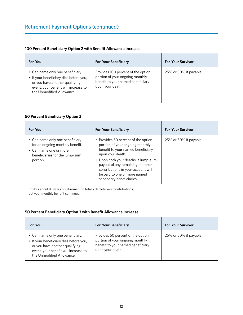### **100 Percent Beneficiary Option 2 with Benefit Allowance Increase**

| For You                                                                                                                                                                           | <b>For Your Beneficiary</b>                                                                                                    | <b>For Your Survivor</b> |
|-----------------------------------------------------------------------------------------------------------------------------------------------------------------------------------|--------------------------------------------------------------------------------------------------------------------------------|--------------------------|
| • Can name only one beneficiary.<br>• If your beneficiary dies before you,<br>or you have another qualifying<br>event, your benefit will increase to<br>the Unmodified Allowance. | Provides 100 percent of the option<br>portion of your ongoing monthly<br>benefit to your named beneficiary<br>upon your death. | 25% or 50% if payable    |

### **50 Percent Beneficiary Option 3**

| For You                                                                                                                                    | <b>For Your Beneficiary</b>                                                                                                                                                                                                                                                                                | <b>For Your Survivor</b> |
|--------------------------------------------------------------------------------------------------------------------------------------------|------------------------------------------------------------------------------------------------------------------------------------------------------------------------------------------------------------------------------------------------------------------------------------------------------------|--------------------------|
| • Can name only one beneficiary<br>for an ongoing monthly benefit.<br>• Can name one or more<br>beneficiaries for the lump-sum<br>portion. | • Provides 50 percent of the option<br>portion of your ongoing monthly<br>benefit to your named beneficiary<br>upon your death.<br>• Upon both your deaths, a lump-sum<br>payout of any remaining member<br>contributions in your account will<br>be paid to one or more named<br>secondary beneficiaries. | 25% or 50% if payable    |

It takes about 10 years of retirement to totally deplete your contributions, but your monthly benefit continues.

### **50 Percent Beneficiary Option 3 with Benefit Allowance Increase**

| For You                                                                                                                                                                           | <b>For Your Beneficiary</b>                                                                                                   | <b>For Your Survivor</b> |
|-----------------------------------------------------------------------------------------------------------------------------------------------------------------------------------|-------------------------------------------------------------------------------------------------------------------------------|--------------------------|
| • Can name only one beneficiary.<br>• If your beneficiary dies before you,<br>or you have another qualifying<br>event, your benefit will increase to<br>the Unmodified Allowance. | Provides 50 percent of the option<br>portion of your ongoing monthly<br>benefit to your named beneficiary<br>upon your death. | 25% or 50% if payable    |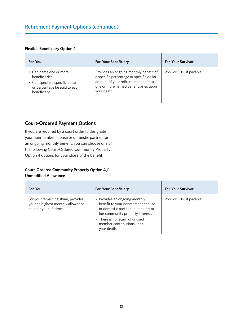### **Flexible Beneficiary Option 4**

| For You                                                                                                                      | <b>For Your Beneficiary</b>                                                                                                                                                       | <b>For Your Survivor</b> |
|------------------------------------------------------------------------------------------------------------------------------|-----------------------------------------------------------------------------------------------------------------------------------------------------------------------------------|--------------------------|
| • Can name one or more<br>beneficiaries.<br>• Can specify a specific dollar<br>or percentage be paid to each<br>beneficiary. | Provides an ongoing monthly benefit of<br>a specific percentage or specific dollar<br>amount of your retirement benefit to<br>one or more named beneficiaries upon<br>your death. | 25% or 50% if payable    |

## **Court-Ordered Payment Options**

If you are required by a court order to designate your nonmember spouse or domestic partner for an ongoing monthly benefit, you can choose one of the following Court-Ordered Community Property Option 4 options for your share of the benefit.

## **Court-Ordered Community Property Option 4 /**

### **Unmodified Allowance**

| For You                                                                                            | <b>For Your Beneficiary</b>                                                                                                                                                                                                | <b>For Your Survivor</b> |
|----------------------------------------------------------------------------------------------------|----------------------------------------------------------------------------------------------------------------------------------------------------------------------------------------------------------------------------|--------------------------|
| For your remaining share, provides<br>you the highest monthly allowance<br>paid for your lifetime. | • Provides an ongoing monthly<br>benefit to your nonmember spouse<br>or domestic partner equal to his or<br>her community property interest.<br>• There is no return of unused<br>member contributions upon<br>your death. | 25% or 50% if payable    |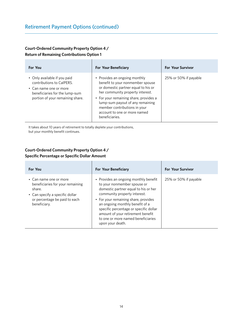## **Court-Ordered Community Property Option 4 / Return of Remaining Contributions Option 1**

| For You                                                                                                                                                   | <b>For Your Beneficiary</b>                                                                                                                                                                                                                                                                                  | <b>For Your Survivor</b> |
|-----------------------------------------------------------------------------------------------------------------------------------------------------------|--------------------------------------------------------------------------------------------------------------------------------------------------------------------------------------------------------------------------------------------------------------------------------------------------------------|--------------------------|
| • Only available if you paid<br>contributions to CalPERS.<br>• Can name one or more<br>beneficiaries for the lump-sum<br>portion of your remaining share. | • Provides an ongoing monthly<br>benefit to your nonmember spouse<br>or domestic partner equal to his or<br>her community property interest.<br>• For your remaining share, provides a<br>lump-sum payout of any remaining<br>member contributions in your<br>account to one or more named<br>beneficiaries. | 25% or 50% if payable    |

It takes about 10 years of retirement to totally deplete your contributions, but your monthly benefit continues.

## **Court-Ordered Community Property Option 4 / Specific Percentage or Specific Dollar Amount**

| For You                                                                                                                                                  | <b>For Your Beneficiary</b>                                                                                                                                                                                                                                                                                                                                      | <b>For Your Survivor</b> |
|----------------------------------------------------------------------------------------------------------------------------------------------------------|------------------------------------------------------------------------------------------------------------------------------------------------------------------------------------------------------------------------------------------------------------------------------------------------------------------------------------------------------------------|--------------------------|
| • Can name one or more<br>beneficiaries for your remaining<br>share.<br>• Can specify a specific dollar<br>or percentage be paid to each<br>beneficiary. | • Provides an ongoing monthly benefit<br>to your nonmember spouse or<br>domestic partner equal to his or her<br>community property interest.<br>• For your remaining share, provides<br>an ongoing monthly benefit of a<br>specific percentage or specific dollar<br>amount of your retirement benefit<br>to one or more named beneficiaries<br>upon your death. | 25% or 50% if payable    |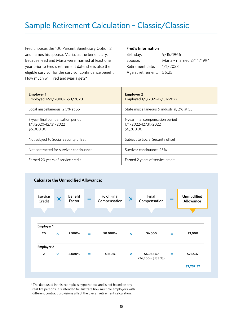# <span id="page-16-0"></span>Sample Retirement Calculation – Classic/Classic

Fred chooses the 100 Percent Beneficiary Option 2 and names his spouse, Maria, as the beneficiary. Because Fred and Maria were married at least one year prior to Fred's retirement date, she is also the eligible survivor for the survivor continuance benefit. How much will Fred and Maria get?\*

### **Fred's Information**

| Birthday:                | 9/15/1966                 |
|--------------------------|---------------------------|
| Spouse:                  | Maria - married 2/14/1994 |
| Retirement date:         | 1/1/2023                  |
| Age at retirement: 56.25 |                           |

| <b>Employer 1</b><br>Employed 12/1/2000-12/1/2020                     | <b>Employer 2</b><br>Employed 1/1/2021-12/31/2022                     |
|-----------------------------------------------------------------------|-----------------------------------------------------------------------|
| Local miscellaneous, 2.5% at 55                                       | State miscellaneous & industrial, 2% at 55                            |
| 3-year final compensation period<br>1/1/2020-12/31/2022<br>\$6,000,00 | 1-year final compensation period<br>1/1/2022-12/31/2022<br>\$6,200.00 |
| Not subject to Social Security offset                                 | Subject to Social Security offset                                     |
| Not contracted for survivor continuance                               | Survivor continuance 25%                                              |
| Earned 20 years of service credit                                     | Earned 2 years of service credit                                      |





\* The data used in this example is hypothetical and is not based on any real-life persons. It's intended to illustrate how multiple employers with different contract provisions affect the overall retirement calculation.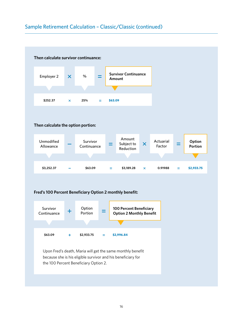# Sample Retirement Calculation – Classic/Classic (continued)



Upon Fred's death, Maria will get the same monthly benefit because she is his eligible survivor and his beneficiary for the 100 Percent Beneficiary Option 2.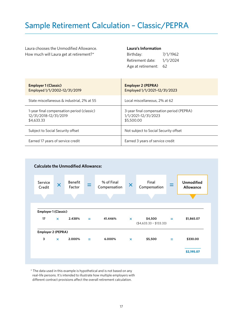# <span id="page-18-0"></span>Sample Retirement Calculation – Classic/PEPRA

Laura chooses the Unmodified Allowance. How much will Laura get at retirement?\*

### **Laura's Information**

| Birthday:          | 7/1/1962 |
|--------------------|----------|
| Retirement date:   | 1/1/2024 |
| Age at retirement: | 62       |

| <b>Employer 1 (Classic)</b><br>Employed 1/1/2002-12/31/2019                       | <b>Employer 2 (PEPRA)</b><br>Employed 1/1/2021-12/31/2023                     |
|-----------------------------------------------------------------------------------|-------------------------------------------------------------------------------|
| State miscellaneous & industrial, 2% at 55                                        | Local miscellaneous, 2% at 62                                                 |
| 1-year final compensation period (classic)<br>12/31/2018-12/31/2019<br>\$4,633,33 | 3-year final compensation period (PEPRA)<br>1/1/2021-12/31/2023<br>\$5,500,00 |
| Subject to Social Security offset                                                 | Not subject to Social Security offset                                         |
| Earned 17 years of service credit                                                 | Earned 3 years of service credit                                              |



\* The data used in this example is hypothetical and is not based on any real-life persons. It's intended to illustrate how multiple employers with different contract provisions affect the overall retirement calculation.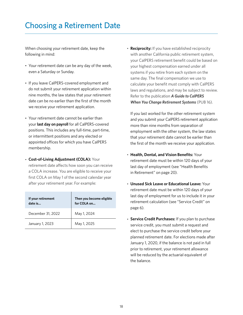# <span id="page-19-0"></span>Choosing a Retirement Date

When choosing your retirement date, keep the following in mind:

- Your retirement date can be any day of the week, even a Saturday or Sunday
- If you leave CalPERS-covered employment and do not submit your retirement application within nine months, the law states that your retirement date can be no earlier than the first of the month we receive your retirement application
- Your retirement date cannot be earlier than your **last day on payroll** for all CalPERS-covered positions. This includes any full-time, part-time, or intermittent positions and any elected or appointed offices for which you have CalPERS membership
- **Cost-of-Living Adjustment (COLA):** Your retirement date affects how soon you can receive a COLA increase. You are eligible to receive your first COLA on May 1 of the second calendar year after your retirement year. For example:

| If your retirement<br>date is | Then you become eligible<br>for COLA on |
|-------------------------------|-----------------------------------------|
| December 31, 2022             | May 1, 2024                             |
| January 1, 2023               | May 1, 2025                             |

• **Reciprocity:** If you have established reciprocity with another California public retirement system, your CalPERS retirement beneft could be based on your highest compensation earned under all systems if you retire from each system on the same day. The final compensation we use to calculate your benefit must comply with CalPERS laws and regulations, and may be subject to review. Refer to the publication *[A Guide to CalPERS](https://www.calpers.ca.gov/docs/forms-publications/change-retirement-systems.pdf)  [When You Change Retirement Systems](https://www.calpers.ca.gov/docs/forms-publications/change-retirement-systems.pdf)* (PUB 16)

If you last worked for the other retirement system and you submit your CalPERS retirement application more than nine months from separation of employment with the other system, the law states that your retirement date cannot be earlier than the first of the month we receive your application.

- **Health, Dental, and Vision Benefts:** Your retirement date must be within 120 days of your last day of employment (see "Health Benefits in Retirement" on page 20)
- **Unused Sick Leave or Educational Leave:** Your retirement date must be within 120 days of your last day of employment for us to include it in your retirement calculation (see "Service Credit" on page 6)
- **Service Credit Purchases:** If you plan to purchase service credit, you must submit a request and elect to purchase the service credit before your planned retirement date. For elections made after January 1, 2020, if the balance is not paid in full prior to retirement, your retirement allowance will be reduced by the actuarial equivalent of the balance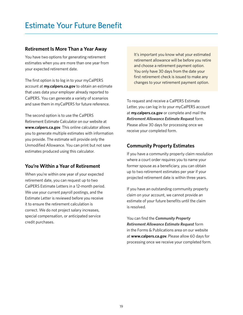## <span id="page-20-0"></span>**Retirement Is More Than a Year Away**

You have two options for generating retirement estimates when you are more than one year from your expected retirement date

The first option is to log in to your myCalPERS account at **[my.calpers.ca.gov](https://my.calpers.ca.gov)** to obtain an estimate that uses data your employer already reported to CalPERS. You can generate a variety of scenarios and save them in myCalPERS for future reference.

The second option is to use the CalPERS Retirement Estimate Calculator on our website at **[www.calpers.ca.gov](https://www.calpers.ca.gov/)** This online calculator allows you to generate multiple estimates with information you provide The estimate will provide only the Unmodified Allowance. You can print but not save estimates produced using this calculator

# **You're Within a Year of Retirement**

When you're within one year of your expected retirement date, you can request up to two CalPERS Estimate Letters in a 12-month period We use your current payroll postings, and the Estimate Letter is reviewed before you receive it to ensure the retirement calculation is correct. We do not project salary increases, special compensation, or anticipated service credit purchases

It's important you know what your estimated retirement allowance will be before you retire and choose a retirement payment option. You only have 30 days from the date your first retirement check is issued to make any changes to your retirement payment option

To request and receive a CalPERS Estimate Letter, you can log in to your myCalPERS account at **[my.calpers.ca.gov](https://my.calpers.ca.gov)** or complete and mail the *[Retirement Allowance Estimate Request](https://www.calpers.ca.gov/docs/forms-publications/retirement-allowance-request.pdf)* form Please allow 30 days for processing once we receive your completed form

# **Community Property Estimates**

If you have a community property claim resolution where a court order requires you to name your former spouse as a beneficiary, you can obtain up to two retirement estimates per year if your projected retirement date is within three years

If you have an outstanding community property claim on your account, we cannot provide an estimate of your future benefits until the claim is resolved

You can find the **Community Property** *[Retirement Allowance Estimate Request](https://www.calpers.ca.gov/docs/forms-publications/community-property-allowance-estimate.pdf)* form in the Forms & Publications area on our website at **[www.calpers.ca.gov](https://www.calpers.ca.gov/)** Please allow 60 days for processing once we receive your completed form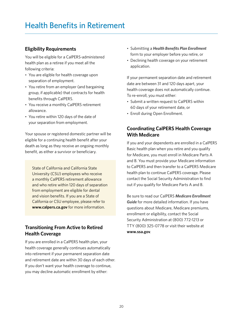# <span id="page-21-0"></span>**Health Benefits in Retirement**

## **Eligibility Requirements**

You will be eligible for a CalPERS-administered health plan as a retiree if you meet all the following criteria:

- You are eligible for health coverage upon separation of employment
- You retire from an employer (and bargaining group, if applicable) that contracts for health benefits through CalPERS.
- You receive a monthly CalPERS retirement allowance
- You retire within 120 days of the date of your separation from employment

Your spouse or registered domestic partner will be eligible for a continuing health benefit after your death as long as they receive an ongoing monthly benefit, as either a survivor or beneficiary.

State of California and California State University (CSU) employees who receive a monthly CalPERS retirement allowance and who retire within 120 days of separation from employment are eligible for dental and vision benefits. If you are a State of California or CSU employee, please refer to **[www.calpers.ca.gov](https://www.calpers.ca.gov/)** for more information

# **Transitioning From Active to Retired Health Coverage**

If you are enrolled in a CalPERS health plan, your health coverage generally continues automatically into retirement if your permanent separation date and retirement date are within 30 days of each other If you don't want your health coverage to continue, you may decline automatic enrollment by either:

- Submitting a *[Health Benefts Plan Enrollment](https://www.calpers.ca.gov/docs/forms-publications/health-benefits-enrollment-form.pdf)* form to your employer before you retire, or
- Declining health coverage on your retirement application

If your permanent separation date and retirement date are between 31 and 120 days apart, your health coverage does not automatically continue To re-enroll, you must either:

- Submit a written request to CalPERS within 60 days of your retirement date, or
- Enroll during Open Enrollment

# **Coordinating CalPERS Health Coverage With Medicare**

If you and your dependents are enrolled in a CalPERS Basic health plan when you retire and you qualify for Medicare, you must enroll in Medicare Parts A and B. You must provide your Medicare information to CalPERS and then transfer to a CalPERS Medicare health plan to continue CalPERS coverage. Please contact the Social Security Administration to find out if you qualify for Medicare Parts A and B

Be sure to read our CalPERS *[Medicare Enrollment](https://www.calpers.ca.gov/docs/forms-publications/medicare-enrollment-guide.pdf)*  [Guide](https://www.calpers.ca.gov/docs/forms-publications/medicare-enrollment-guide.pdf) for more detailed information. If you have questions about Medicare, Medicare premiums, enrollment or eligibility, contact the Social Security Administration at (800) 772-1213 or TTY (800) 325-0778 or visit their website at **[www.ssa.gov](https://www.ssa.gov/)**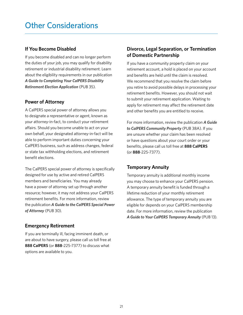## <span id="page-22-0"></span>**If You Become Disabled**

If you become disabled and can no longer perform the duties of your job, you may qualify for disability retirement or industrial disability retirement. Learn about the eligibility requirements in our publication *[A Guide to Completing Your CalPERS Disability](https://www.calpers.ca.gov/docs/forms-publications/disability-retirement-pub.pdf)  [Retirement Election Application](https://www.calpers.ca.gov/docs/forms-publications/disability-retirement-pub.pdf)* (PUB 35)

## **Power of Attorney**

A CalPERS special power of attorney allows you to designate a representative or agent, known as your attorney-in-fact, to conduct your retirement affairs. Should you become unable to act on your own behalf, your designated attorney-in-fact will be able to perform important duties concerning your CalPERS business, such as address changes, federal or state tax withholding elections, and retirement benefit elections.

The CalPERS special power of attorney is specifically designed for use by active and retired CalPERS members and beneficiaries. You may already have a power of attorney set up through another resource; however, it may not address your CalPERS retirement benefits. For more information, review the publication *[A Guide to the CalPERS Special Power](https://www.calpers.ca.gov/docs/forms-publications/special-power-attorney-pub.pdf)  [of Attorney](https://www.calpers.ca.gov/docs/forms-publications/special-power-attorney-pub.pdf)* (PUB 30)

# **Emergency Retirement**

If you are terminally ill, facing imminent death, or are about to have surgery, please call us toll free at **888 CalPERS** (or **888**-225-7377) to discuss what options are available to you

# **Divorce, Legal Separation, or Termination of Domestic Partnership**

If you have a community property claim on your retirement account, a hold is placed on your account and benefits are held until the claim is resolved. We recommend that you resolve the claim before you retire to avoid possible delays in processing your retirement benefits. However, you should not wait to submit your retirement application. Waiting to apply for retirement may affect the retirement date and other benefits you are entitled to receive.

For more information, review the publication *[A Guide](https://www.calpers.ca.gov/docs/forms-publications/community-property.pdf)  [to CalPERS Community Property](https://www.calpers.ca.gov/docs/forms-publications/community-property.pdf)* (PUB 38A) If you are unsure whether your claim has been resolved or have questions about your court order or your benefts, please call us toll free at **888 CalPERS** (or **888**-225-7377)

# **Temporary Annuity**

Temporary annuity is additional monthly income you may choose to enhance your CalPERS pension A temporary annuity benefit is funded through a lifetime reduction of your monthly retirement allowance. The type of temporary annuity you are eligible for depends on your CalPERS membership date. For more information, review the publication *[A Guide to Your CalPERS Temporary Annuity](https://www.calpers.ca.gov/docs/forms-publications/temporary-annuity.pdf)* (PUB 13)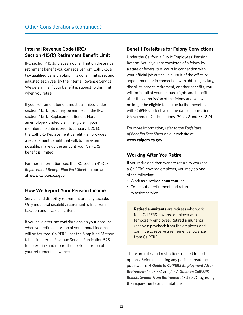## **Internal Revenue Code (IRC) Section 415(b) Retirement Beneft Limit**

IRC section 415(b) places a dollar limit on the annual retirement benefit you can receive from CalPERS, a tax-qualified pension plan. This dollar limit is set and adjusted each year by the Internal Revenue Service We determine if your benefit is subject to this limit when you retire

If your retirement benefit must be limited under section 415(b), you may be enrolled in the IRC section 415(b) Replacement Benefit Plan, an employer-funded plan, if eligible. If your membership date is prior to January 1, 2013, the CalPERS Replacement Benefit Plan provides a replacement benefit that will, to the extent possible, make up the amount your CalPERS benefit is limited.

For more information, see the IRC section 415(b) *[Replacement Beneft Plan Fact Sheet](https://www.calpers.ca.gov/docs/forms-publications/irc-415b-fact-sheet.pdf)* on our website at **[www.calpers.ca.gov](https://www.calpers.ca.gov/)**

### **How We Report Your Pension Income**

Service and disability retirement are fully taxable Only industrial disability retirement is free from taxation under certain criteria

If you have after-tax contributions on your account when you retire, a portion of your annual income will be tax-free. CalPERS uses the Simplified Method tables in Internal Revenue Service Publication 575 to determine and report the tax-free portion of your retirement allowance

## **Beneft Forfeiture for Felony Convictions**

Under the California Public Employees' Pension Reform Act, if you are convicted of a felony by a state or federal trial court in connection with your official job duties, in pursuit of the office or appointment, or in connection with obtaining salary, disability, service retirement, or other benefits, you will forfeit all of your accrued rights and benefits after the commission of the felony and you will no longer be eligible to accrue further benefits with CalPERS, effective on the date of conviction (Government Code sections 7522.72 and 7522.74).

For more information, refer to the *[Forfeiture](https://www.calpers.ca.gov/docs/forms-publications/fact-sheet-forfeiture-of-benefits.pdf)  [of Benefts Fact Sheet](https://www.calpers.ca.gov/docs/forms-publications/fact-sheet-forfeiture-of-benefits.pdf)* on our website at **[www.calpers.ca.gov](https://www.calpers.ca.gov/)**

## **Working After You Retire**

If you retire and then want to return to work for a CalPERS-covered employer, you may do one of the following:

- Work as a **retired annuitant**, or
- Come out of retirement and return to active service

**Retired annuitants** are retirees who work for a CalPERS-covered employer as a temporary employee. Retired annuitants receive a paycheck from the employer and continue to receive a retirement allowance from CalPERS

There are rules and restrictions related to both options. Before accepting any position, read the publications *[A Guide to CalPERS Employment After](https://www.calpers.ca.gov/docs/forms-publications/employment-after-retirement.pdf)  [Retirement](https://www.calpers.ca.gov/docs/forms-publications/employment-after-retirement.pdf)* (PUB 33) and/or *[A Guide to CalPERS](https://www.calpers.ca.gov/docs/forms-publications/reinstatement-retirement.pdf)  [Reinstatement From Retirement](https://www.calpers.ca.gov/docs/forms-publications/reinstatement-retirement.pdf)* (PUB 37) regarding the requirements and limitations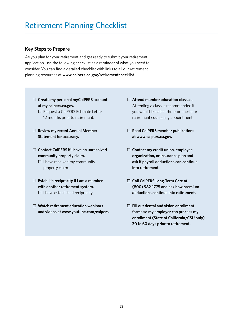## <span id="page-24-0"></span>**Key Steps to Prepare**

As you plan for your retirement and get ready to submit your retirement application, use the following checklist as a reminder of what you need to consider. You can find a detailed checklist with links to all our retirement planning resources at **[www.calpers.ca.gov/retirementchecklist](https://www.calpers.ca.gov/page/active-members/retirement-benefits/service-disability-retirement/retirement-planning-checklist)**

- □ Create my personal myCalPERS account **at [my.calpers.ca.gov](https://my.calpers.ca.gov).**
	- $\square$  Request a CalPERS Estimate Letter 12 months prior to retirement
- □ Review my recent Annual Member **Statement for accuracy.**
- ¨ **Contact CalPERS if I have an unresolved community property claim.**

 $\square$  I have resolved my community property claim

- ¨ **Establish reciprocity if I am a member with another retirement system.** 
	- $\square$  I have established reciprocity.
- ¨ **Watch retirement education webinars and videos at [www.youtube.com/calpers.](https://www.youtube.com/calpers)**
- ¨ **Attend member education classes.**  Attending a class is recommended if you would like a half-hour or one-hour retirement counseling appointment
- □ **Read CalPERS member publications at [www.calpers.ca.gov](https://www.calpers.ca.gov/).**
- ¨ **Contact my credit union, employee organization, or insurance plan and ask if payroll deductions can continue into retirement.**
- □ Call CalPERS Long-Term Care at **(800) 982-1775 and ask how premium deductions continue into retirement.**
- ¨ **Fill out dental and vision enrollment forms so my employer can process my enrollment (State of California/CSU only) 30 to 60 days prior to retirement.**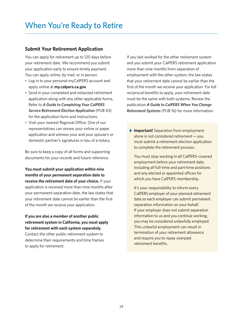## <span id="page-25-0"></span>**Submit Your Retirement Application**

You can apply for retirement up to 120 days before your retirement date. We recommend you submit your application early to ensure timely payment You can apply online, by mail, or in person:

- Log in to your personal myCalPERS account and apply online at **[my.calpers.ca.gov](https://my.calpers.ca.gov)**
- Send in your completed and notarized retirement application along with any other applicable forms Refer to *[A Guide to Completing Your CalPERS](https://www.calpers.ca.gov/docs/forms-publications/service-retirement-election-app.pdf)  [Service Retirement Election Application](https://www.calpers.ca.gov/docs/forms-publications/service-retirement-election-app.pdf)* (PUB 43) for the application form and instructions
- Visit your nearest Regional Office. One of our representatives can review your online or paper application and witness your and your spouse's or domestic partner's signatures in lieu of a notary

Be sure to keep a copy of all forms and supporting documents for your records and future reference

**You must submit your application within nine months of your permanent separation date to receive the retirement date of your choice.** If your application is received more than nine months after your permanent separation date, the law states that your retirement date cannot be earlier than the first of the month we receive your application

**If you are also a member of another public retirement system in California, you must apply for retirement with each system separately.** 

Contact the other public retirement system to determine their requirements and time frames to apply for retirement

If you last worked for the other retirement system and you submit your CalPERS retirement application more than nine months from separation of employment with the other system, the law states that your retirement date cannot be earlier than the first of the month we receive your application. For full reciprocal benefits to apply, your retirement date must be the same with both systems. Review the publication *[A Guide to CalPERS When You Change](https://www.calpers.ca.gov/docs/forms-publications/change-retirement-systems.pdf)  [Retirement Systems](https://www.calpers.ca.gov/docs/forms-publications/change-retirement-systems.pdf)* (PUB 16) for more information

**Important!** Separation from employment alone is not considered retirement — you must submit a retirement election application to complete the retirement process

You must stop working in all CalPERS-covered employment before your retirement date, including all full-time and part-time positions and any elected or appointed offices for which you have CalPERS membership.

It's your responsibility to inform every CalPERS employer of your planned retirement date so each employer can submit permanent separation information on your behalf. If your employer does not submit separation information to us and you continue working, you may be considered unlawfully employed This unlawful employment can result in termination of your retirement allowance and require you to repay overpaid retirement benefits.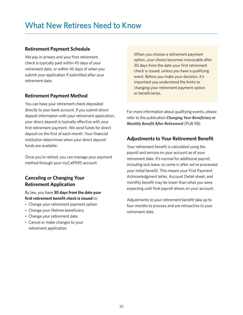## <span id="page-26-0"></span>**Retirement Payment Schedule**

We pay in arrears and your first retirement check is typically paid within 45 days of your retirement date, or within 45 days of when you submit your application if submitted after your retirement date

## **Retirement Payment Method**

You can have your retirement check deposited directly to your bank account. If you submit direct deposit information with your retirement application, your direct deposit is typically efective with your first retirement payment. We send funds for direct deposit on the first of each month. Your financial institution determines when your direct deposit funds are available

Once you're retired, you can manage your payment method through your myCalPERS account

# **Canceling or Changing Your Retirement Application**

By law, you have **30 days from the date your**  first retirement benefit check is issued to:

- Change your retirement payment option
- Change your lifetime beneficiary
- Change your retirement date
- Cancel or make changes to your retirement application

When you choose a retirement payment option, your choice becomes irrevocable after 30 days from the date your first retirement check is issued, unless you have a qualifying event. Before you make your decision, it's important you understand the limits to changing your retirement payment option or beneficiaries.

For more information about qualifying events, please refer to the publication *Changing Your Beneficiary or [Monthly Beneft After Retirement](https://www.calpers.ca.gov/docs/forms-publications/changing-beneficiary-after-retirement.pdf)* (PUB 98)

## **Adjustments to Your Retirement Beneft**

Your retirement benefit is calculated using the payroll and service on your account as of your retirement date. It's normal for additional payroll, including sick leave, to come in after we've processed your initial benefit. This means your First Payment Acknowledgment letter, Account Detail sheet, and monthly benefit may be lower than what you were expecting until final payroll shows on your account.

Adjustments to your retirement benefit take up to four months to process and are retroactive to your retirement date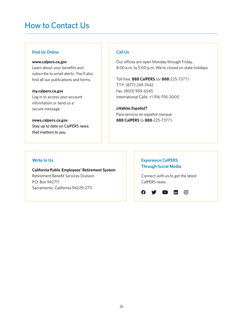# <span id="page-27-0"></span>How to Contact Us

### **Find Us Online**

#### **[www.calpers.ca.gov](https://www.calpers.ca.gov/)**

Learn about your benefits and subscribe to email alerts. You'll also find all our publications and forms.

#### **[my.calpers.ca.gov](https://my.calpers.ca.gov)**

Log in to access your account information or send us a secure message

**[news.calpers.ca.gov](https://news.calpers.ca.gov/)** Stay up to date on CalPERS news that matters to you.

### **Call Us**

Our offices are open Monday through Friday, 8:00 a.m. to 5:00 p.m. We're closed on state holidays.

Toll free: **888 CalPERS** (or **888**-225-7377) TTY: (877) 249-7442 Fax: (800) 959-6545 International Calls: +1 916-795-3000

**¿Hablas Español?** Para servicio en español marque: **888 CalPERS** (o **888**-225-7377)

### **Write to Us**

**California Public Employees' Retirement System** Retirement Benefit Services Division P.O. Box 942711 Sacramento, California 94229-2711

## **Experience CalPERS Through Social Media**

Connect with us to get the latest CalPERS news

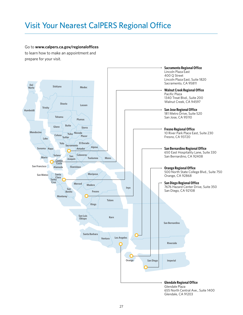# <span id="page-28-0"></span>Visit Your Nearest CalPERS Regional Office

Go to **www.calpers.ca.gov/regionaloffices** to learn how to make an appointment and prepare for your visit

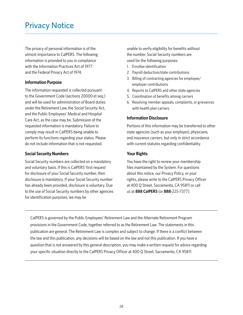# <span id="page-29-0"></span>Privacy Notice

The privacy of personal information is of the utmost importance to CalPERS. The following information is provided to you in compliance with the Information Practices Act of 1977 and the Federal Privacy Act of 1974.

### **Information Purpose**

The information requested is collected pursuant to the Government Code (sections 20000 et seq.) and will be used for administration of Board duties under the Retirement Law, the Social Security Act, and the Public Employees' Medical and Hospital Care Act, as the case may be. Submission of the requested information is mandatory. Failure to comply may result in CalPERS being unable to perform its functions regarding your status. Please do not include information that is not requested.

### **Social Security Numbers**

Social Security numbers are collected on a mandatory and voluntary basis. If this is CalPERS' first request for disclosure of your Social Security number, then disclosure is mandatory. If your Social Security number has already been provided, disclosure is voluntary. Due to the use of Social Security numbers by other agencies for identification purposes, we may be

unable to verify eligibility for benefits without the number. Social Security numbers are used for the following purposes:

- 1. Enrollee identification
- 2. Payroll deduction/state contributions
- 3. Billing of contracting agencies for employee/ employer contributions
- 4. Reports to CalPERS and other state agencies
- 5. Coordination of benefits among carriers
- 6. Resolving member appeals, complaints, or grievances with health plan carriers

### **Information Disclosure**

Portions of this information may be transferred to other state agencies (such as your employer), physicians, and insurance carriers, but only in strict accordance with current statutes regarding confidentiality.

### **Your Rights**

You have the right to review your membership files maintained by the System. For questions about this notice, our Privacy Policy, or your rights, please write to the CalPERS Privacy Officer at 400 Q Street, Sacramento, CA 95811 or call us at **888 CalPERS** (or **888**-225-7377).

CalPERS is governed by the Public Employees' Retirement Law and the Alternate Retirement Program provisions in the Government Code, together referred to as the Retirement Law. The statements in this publication are general. The Retirement Law is complex and subject to change. If there is a conflict between the law and this publication, any decisions will be based on the law and not this publication. If you have a question that is not answered by this general description, you may make a written request for advice regarding your specific situation directly to the CalPERS Privacy Officer at 400 Q Street, Sacramento, CA 95811.